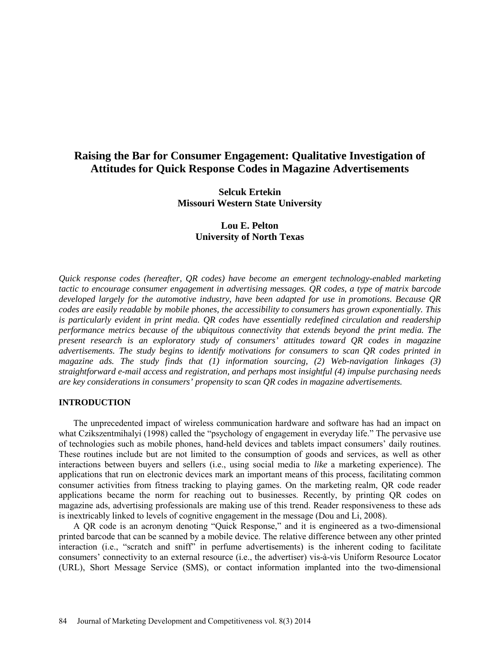# **Raising the Bar for Consumer Engagement: Qualitative Investigation of Attitudes for Quick Response Codes in Magazine Advertisements**

**Selcuk Ertekin Missouri Western State University**

> **Lou E. Pelton University of North Texas**

*Quick response codes (hereafter, QR codes) have become an emergent technology-enabled marketing tactic to encourage consumer engagement in advertising messages. QR codes, a type of matrix barcode developed largely for the automotive industry, have been adapted for use in promotions. Because QR codes are easily readable by mobile phones, the accessibility to consumers has grown exponentially. This is particularly evident in print media. QR codes have essentially redefined circulation and readership performance metrics because of the ubiquitous connectivity that extends beyond the print media. The present research is an exploratory study of consumers' attitudes toward QR codes in magazine advertisements. The study begins to identify motivations for consumers to scan QR codes printed in magazine ads. The study finds that (1) information sourcing, (2) Web-navigation linkages (3) straightforward e-mail access and registration, and perhaps most insightful (4) impulse purchasing needs are key considerations in consumers' propensity to scan QR codes in magazine advertisements.*

### **INTRODUCTION**

The unprecedented impact of wireless communication hardware and software has had an impact on what Czikszentmihalyi (1998) called the "psychology of engagement in everyday life." The pervasive use of technologies such as mobile phones, hand-held devices and tablets impact consumers' daily routines. These routines include but are not limited to the consumption of goods and services, as well as other interactions between buyers and sellers (i.e., using social media to *like* a marketing experience). The applications that run on electronic devices mark an important means of this process, facilitating common consumer activities from fitness tracking to playing games. On the marketing realm, QR code reader applications became the norm for reaching out to businesses. Recently, by printing QR codes on magazine ads, advertising professionals are making use of this trend. Reader responsiveness to these ads is inextricably linked to levels of cognitive engagement in the message (Dou and Li, 2008).

A QR code is an acronym denoting "Quick Response," and it is engineered as a two-dimensional printed barcode that can be scanned by a mobile device. The relative difference between any other printed interaction (i.e., "scratch and sniff" in perfume advertisements) is the inherent coding to facilitate consumers' connectivity to an external resource (i.e., the advertiser) vis-à-vis Uniform Resource Locator (URL), Short Message Service (SMS), or contact information implanted into the two-dimensional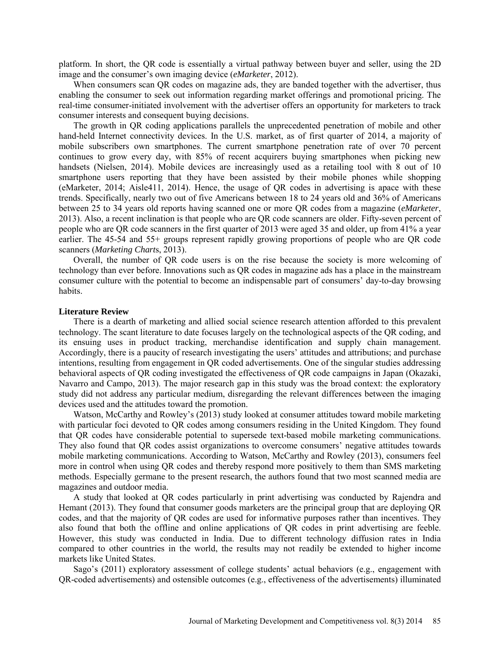platform. In short, the QR code is essentially a virtual pathway between buyer and seller, using the 2D image and the consumer's own imaging device (*eMarketer*, 2012).

When consumers scan QR codes on magazine ads, they are banded together with the advertiser, thus enabling the consumer to seek out information regarding market offerings and promotional pricing. The real-time consumer-initiated involvement with the advertiser offers an opportunity for marketers to track consumer interests and consequent buying decisions.

The growth in QR coding applications parallels the unprecedented penetration of mobile and other hand-held Internet connectivity devices. In the U.S. market, as of first quarter of 2014, a majority of mobile subscribers own smartphones. The current smartphone penetration rate of over 70 percent continues to grow every day, with 85% of recent acquirers buying smartphones when picking new handsets (Nielsen, 2014). Mobile devices are increasingly used as a retailing tool with 8 out of 10 smartphone users reporting that they have been assisted by their mobile phones while shopping (eMarketer, 2014; Aisle411, 2014). Hence, the usage of QR codes in advertising is apace with these trends. Specifically, nearly two out of five Americans between 18 to 24 years old and 36% of Americans between 25 to 34 years old reports having scanned one or more QR codes from a magazine (*eMarketer*, 2013). Also, a recent inclination is that people who are QR code scanners are older. Fifty-seven percent of people who are QR code scanners in the first quarter of 2013 were aged 35 and older, up from 41% a year earlier. The 45-54 and 55+ groups represent rapidly growing proportions of people who are QR code scanners (*Marketing Chart*s, 2013).

Overall, the number of QR code users is on the rise because the society is more welcoming of technology than ever before. Innovations such as QR codes in magazine ads has a place in the mainstream consumer culture with the potential to become an indispensable part of consumers' day-to-day browsing habits.

#### **Literature Review**

There is a dearth of marketing and allied social science research attention afforded to this prevalent technology. The scant literature to date focuses largely on the technological aspects of the QR coding, and its ensuing uses in product tracking, merchandise identification and supply chain management. Accordingly, there is a paucity of research investigating the users' attitudes and attributions; and purchase intentions, resulting from engagement in QR coded advertisements. One of the singular studies addressing behavioral aspects of QR coding investigated the effectiveness of QR code campaigns in Japan (Okazaki, Navarro and Campo, 2013). The major research gap in this study was the broad context: the exploratory study did not address any particular medium, disregarding the relevant differences between the imaging devices used and the attitudes toward the promotion.

Watson, McCarthy and Rowley's (2013) study looked at consumer attitudes toward mobile marketing with particular foci devoted to QR codes among consumers residing in the United Kingdom. They found that QR codes have considerable potential to supersede text-based mobile marketing communications. They also found that QR codes assist organizations to overcome consumers' negative attitudes towards mobile marketing communications. According to Watson, McCarthy and Rowley (2013), consumers feel more in control when using QR codes and thereby respond more positively to them than SMS marketing methods. Especially germane to the present research, the authors found that two most scanned media are magazines and outdoor media.

A study that looked at QR codes particularly in print advertising was conducted by Rajendra and Hemant (2013). They found that consumer goods marketers are the principal group that are deploying QR codes, and that the majority of QR codes are used for informative purposes rather than incentives. They also found that both the offline and online applications of QR codes in print advertising are feeble. However, this study was conducted in India. Due to different technology diffusion rates in India compared to other countries in the world, the results may not readily be extended to higher income markets like United States.

Sago's (2011) exploratory assessment of college students' actual behaviors (e.g., engagement with QR-coded advertisements) and ostensible outcomes (e.g., effectiveness of the advertisements) illuminated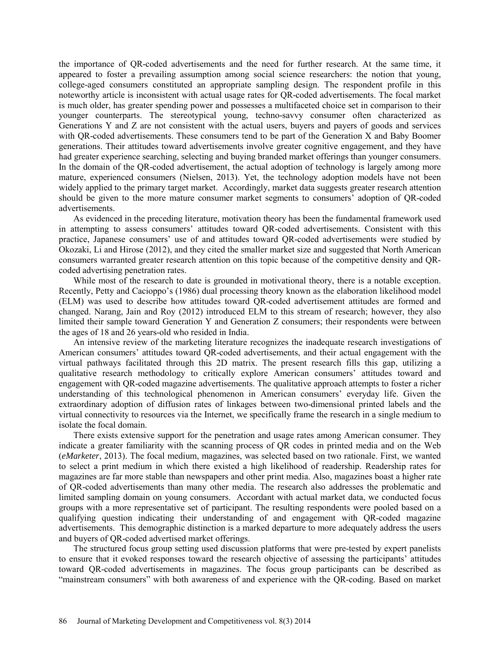the importance of QR-coded advertisements and the need for further research. At the same time, it appeared to foster a prevailing assumption among social science researchers: the notion that young, college-aged consumers constituted an appropriate sampling design. The respondent profile in this noteworthy article is inconsistent with actual usage rates for QR-coded advertisements. The focal market is much older, has greater spending power and possesses a multifaceted choice set in comparison to their younger counterparts. The stereotypical young, techno-savvy consumer often characterized as Generations Y and Z are not consistent with the actual users, buyers and payers of goods and services with QR-coded advertisements. These consumers tend to be part of the Generation X and Baby Boomer generations. Their attitudes toward advertisements involve greater cognitive engagement, and they have had greater experience searching, selecting and buying branded market offerings than younger consumers. In the domain of the QR-coded advertisement, the actual adoption of technology is largely among more mature, experienced consumers (Nielsen, 2013). Yet, the technology adoption models have not been widely applied to the primary target market. Accordingly, market data suggests greater research attention should be given to the more mature consumer market segments to consumers' adoption of QR-coded advertisements.

As evidenced in the preceding literature, motivation theory has been the fundamental framework used in attempting to assess consumers' attitudes toward QR-coded advertisements. Consistent with this practice, Japanese consumers' use of and attitudes toward QR-coded advertisements were studied by Okozaki, Li and Hirose (2012), and they cited the smaller market size and suggested that North American consumers warranted greater research attention on this topic because of the competitive density and QRcoded advertising penetration rates.

While most of the research to date is grounded in motivational theory, there is a notable exception. Recently, Petty and Cacioppo's (1986) dual processing theory known as the elaboration likelihood model (ELM) was used to describe how attitudes toward QR-coded advertisement attitudes are formed and changed. Narang, Jain and Roy (2012) introduced ELM to this stream of research; however, they also limited their sample toward Generation Y and Generation Z consumers; their respondents were between the ages of 18 and 26 years-old who resided in India.

An intensive review of the marketing literature recognizes the inadequate research investigations of American consumers' attitudes toward QR-coded advertisements, and their actual engagement with the virtual pathways facilitated through this 2D matrix. The present research fills this gap, utilizing a qualitative research methodology to critically explore American consumers' attitudes toward and engagement with QR-coded magazine advertisements. The qualitative approach attempts to foster a richer understanding of this technological phenomenon in American consumers' everyday life. Given the extraordinary adoption of diffusion rates of linkages between two-dimensional printed labels and the virtual connectivity to resources via the Internet, we specifically frame the research in a single medium to isolate the focal domain.

There exists extensive support for the penetration and usage rates among American consumer. They indicate a greater familiarity with the scanning process of QR codes in printed media and on the Web (*eMarketer*, 2013). The focal medium, magazines, was selected based on two rationale. First, we wanted to select a print medium in which there existed a high likelihood of readership. Readership rates for magazines are far more stable than newspapers and other print media. Also, magazines boast a higher rate of QR-coded advertisements than many other media. The research also addresses the problematic and limited sampling domain on young consumers. Accordant with actual market data, we conducted focus groups with a more representative set of participant. The resulting respondents were pooled based on a qualifying question indicating their understanding of and engagement with QR-coded magazine advertisements. This demographic distinction is a marked departure to more adequately address the users and buyers of QR-coded advertised market offerings.

The structured focus group setting used discussion platforms that were pre-tested by expert panelists to ensure that it evoked responses toward the research objective of assessing the participants' attitudes toward QR-coded advertisements in magazines. The focus group participants can be described as "mainstream consumers" with both awareness of and experience with the QR-coding. Based on market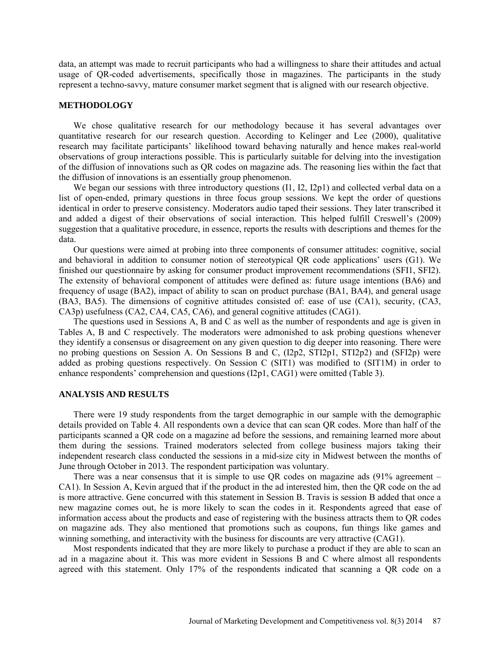data, an attempt was made to recruit participants who had a willingness to share their attitudes and actual usage of QR-coded advertisements, specifically those in magazines. The participants in the study represent a techno-savvy, mature consumer market segment that is aligned with our research objective.

### **METHODOLOGY**

We chose qualitative research for our methodology because it has several advantages over quantitative research for our research question. According to Kelinger and Lee (2000), qualitative research may facilitate participants' likelihood toward behaving naturally and hence makes real-world observations of group interactions possible. This is particularly suitable for delving into the investigation of the diffusion of innovations such as QR codes on magazine ads. The reasoning lies within the fact that the diffusion of innovations is an essentially group phenomenon.

We began our sessions with three introductory questions (I1, I2, I2p1) and collected verbal data on a list of open-ended, primary questions in three focus group sessions. We kept the order of questions identical in order to preserve consistency. Moderators audio taped their sessions. They later transcribed it and added a digest of their observations of social interaction. This helped fulfill Creswell's (2009) suggestion that a qualitative procedure, in essence, reports the results with descriptions and themes for the data.

Our questions were aimed at probing into three components of consumer attitudes: cognitive, social and behavioral in addition to consumer notion of stereotypical QR code applications' users (G1). We finished our questionnaire by asking for consumer product improvement recommendations (SFI1, SFI2). The extensity of behavioral component of attitudes were defined as: future usage intentions (BA6) and frequency of usage (BA2), impact of ability to scan on product purchase (BA1, BA4), and general usage (BA3, BA5). The dimensions of cognitive attitudes consisted of: ease of use (CA1), security, (CA3, CA3p) usefulness (CA2, CA4, CA5, CA6), and general cognitive attitudes (CAG1).

The questions used in Sessions A, B and C as well as the number of respondents and age is given in Tables A, B and C respectively. The moderators were admonished to ask probing questions whenever they identify a consensus or disagreement on any given question to dig deeper into reasoning. There were no probing questions on Session A. On Sessions B and C, (I2p2, STI2p1, STI2p2) and (SFI2p) were added as probing questions respectively. On Session C (SIT1) was modified to (SIT1M) in order to enhance respondents' comprehension and questions (I2p1, CAG1) were omitted (Table 3).

### **ANALYSIS AND RESULTS**

There were 19 study respondents from the target demographic in our sample with the demographic details provided on Table 4. All respondents own a device that can scan QR codes. More than half of the participants scanned a QR code on a magazine ad before the sessions, and remaining learned more about them during the sessions. Trained moderators selected from college business majors taking their independent research class conducted the sessions in a mid-size city in Midwest between the months of June through October in 2013. The respondent participation was voluntary.

There was a near consensus that it is simple to use QR codes on magazine ads  $(91\%$  agreement – CA1). In Session A, Kevin argued that if the product in the ad interested him, then the QR code on the ad is more attractive. Gene concurred with this statement in Session B. Travis is session B added that once a new magazine comes out, he is more likely to scan the codes in it. Respondents agreed that ease of information access about the products and ease of registering with the business attracts them to QR codes on magazine ads. They also mentioned that promotions such as coupons, fun things like games and winning something, and interactivity with the business for discounts are very attractive (CAG1).

Most respondents indicated that they are more likely to purchase a product if they are able to scan an ad in a magazine about it. This was more evident in Sessions B and C where almost all respondents agreed with this statement. Only 17% of the respondents indicated that scanning a QR code on a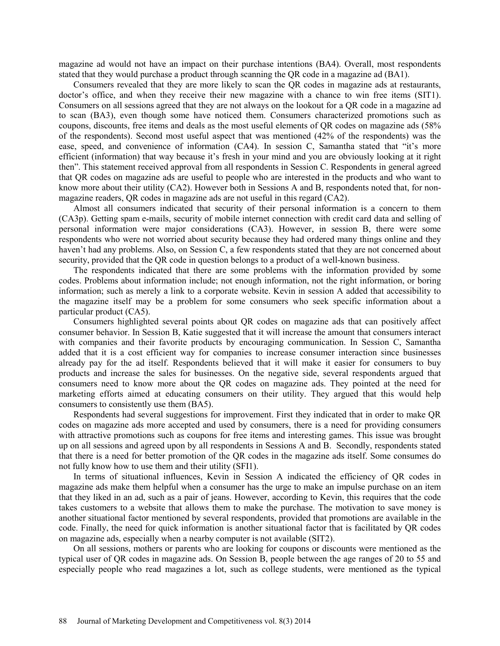magazine ad would not have an impact on their purchase intentions (BA4). Overall, most respondents stated that they would purchase a product through scanning the QR code in a magazine ad (BA1).

Consumers revealed that they are more likely to scan the QR codes in magazine ads at restaurants, doctor's office, and when they receive their new magazine with a chance to win free items (SIT1). Consumers on all sessions agreed that they are not always on the lookout for a QR code in a magazine ad to scan (BA3), even though some have noticed them. Consumers characterized promotions such as coupons, discounts, free items and deals as the most useful elements of QR codes on magazine ads (58% of the respondents). Second most useful aspect that was mentioned (42% of the respondents) was the ease, speed, and convenience of information (CA4). In session C, Samantha stated that "it's more efficient (information) that way because it's fresh in your mind and you are obviously looking at it right then". This statement received approval from all respondents in Session C. Respondents in general agreed that QR codes on magazine ads are useful to people who are interested in the products and who want to know more about their utility (CA2). However both in Sessions A and B, respondents noted that, for nonmagazine readers, QR codes in magazine ads are not useful in this regard (CA2).

Almost all consumers indicated that security of their personal information is a concern to them (CA3p). Getting spam e-mails, security of mobile internet connection with credit card data and selling of personal information were major considerations (CA3). However, in session B, there were some respondents who were not worried about security because they had ordered many things online and they haven't had any problems. Also, on Session C, a few respondents stated that they are not concerned about security, provided that the QR code in question belongs to a product of a well-known business.

The respondents indicated that there are some problems with the information provided by some codes. Problems about information include; not enough information, not the right information, or boring information; such as merely a link to a corporate website. Kevin in session A added that accessibility to the magazine itself may be a problem for some consumers who seek specific information about a particular product (CA5).

Consumers highlighted several points about QR codes on magazine ads that can positively affect consumer behavior. In Session B, Katie suggested that it will increase the amount that consumers interact with companies and their favorite products by encouraging communication. In Session C, Samantha added that it is a cost efficient way for companies to increase consumer interaction since businesses already pay for the ad itself. Respondents believed that it will make it easier for consumers to buy products and increase the sales for businesses. On the negative side, several respondents argued that consumers need to know more about the QR codes on magazine ads. They pointed at the need for marketing efforts aimed at educating consumers on their utility. They argued that this would help consumers to consistently use them (BA5).

Respondents had several suggestions for improvement. First they indicated that in order to make QR codes on magazine ads more accepted and used by consumers, there is a need for providing consumers with attractive promotions such as coupons for free items and interesting games. This issue was brought up on all sessions and agreed upon by all respondents in Sessions A and B. Secondly, respondents stated that there is a need for better promotion of the QR codes in the magazine ads itself. Some consumes do not fully know how to use them and their utility (SFI1).

In terms of situational influences, Kevin in Session A indicated the efficiency of QR codes in magazine ads make them helpful when a consumer has the urge to make an impulse purchase on an item that they liked in an ad, such as a pair of jeans. However, according to Kevin, this requires that the code takes customers to a website that allows them to make the purchase. The motivation to save money is another situational factor mentioned by several respondents, provided that promotions are available in the code. Finally, the need for quick information is another situational factor that is facilitated by QR codes on magazine ads, especially when a nearby computer is not available (SIT2).

On all sessions, mothers or parents who are looking for coupons or discounts were mentioned as the typical user of QR codes in magazine ads. On Session B, people between the age ranges of 20 to 55 and especially people who read magazines a lot, such as college students, were mentioned as the typical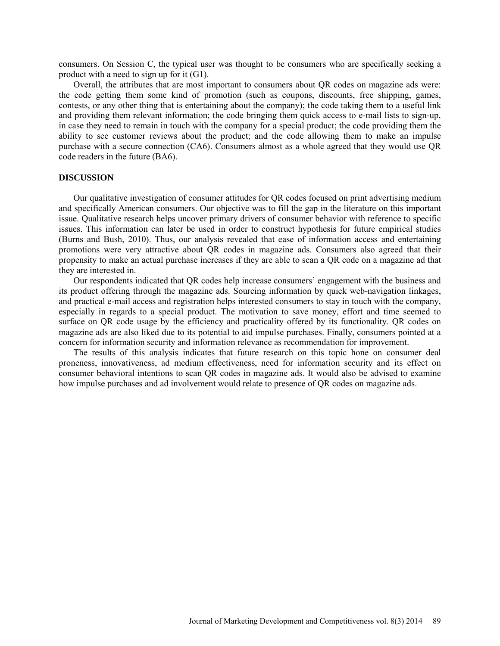consumers. On Session C, the typical user was thought to be consumers who are specifically seeking a product with a need to sign up for it (G1).

Overall, the attributes that are most important to consumers about QR codes on magazine ads were: the code getting them some kind of promotion (such as coupons, discounts, free shipping, games, contests, or any other thing that is entertaining about the company); the code taking them to a useful link and providing them relevant information; the code bringing them quick access to e-mail lists to sign-up, in case they need to remain in touch with the company for a special product; the code providing them the ability to see customer reviews about the product; and the code allowing them to make an impulse purchase with a secure connection (CA6). Consumers almost as a whole agreed that they would use QR code readers in the future (BA6).

#### **DISCUSSION**

Our qualitative investigation of consumer attitudes for QR codes focused on print advertising medium and specifically American consumers. Our objective was to fill the gap in the literature on this important issue. Qualitative research helps uncover primary drivers of consumer behavior with reference to specific issues. This information can later be used in order to construct hypothesis for future empirical studies (Burns and Bush, 2010). Thus, our analysis revealed that ease of information access and entertaining promotions were very attractive about QR codes in magazine ads. Consumers also agreed that their propensity to make an actual purchase increases if they are able to scan a QR code on a magazine ad that they are interested in.

Our respondents indicated that QR codes help increase consumers' engagement with the business and its product offering through the magazine ads. Sourcing information by quick web-navigation linkages, and practical e-mail access and registration helps interested consumers to stay in touch with the company, especially in regards to a special product. The motivation to save money, effort and time seemed to surface on QR code usage by the efficiency and practicality offered by its functionality. QR codes on magazine ads are also liked due to its potential to aid impulse purchases. Finally, consumers pointed at a concern for information security and information relevance as recommendation for improvement.

The results of this analysis indicates that future research on this topic hone on consumer deal proneness, innovativeness, ad medium effectiveness, need for information security and its effect on consumer behavioral intentions to scan QR codes in magazine ads. It would also be advised to examine how impulse purchases and ad involvement would relate to presence of QR codes on magazine ads.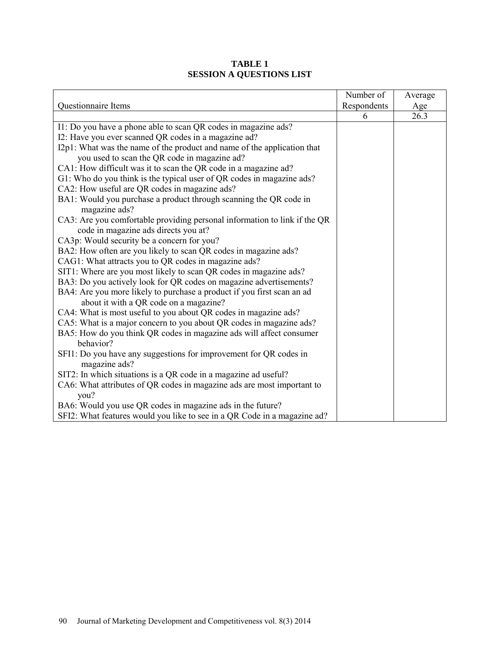|                                                                                                                   | Number of   | Average |
|-------------------------------------------------------------------------------------------------------------------|-------------|---------|
| Questionnaire Items                                                                                               | Respondents | Age     |
|                                                                                                                   | 6           | 26.3    |
| I1: Do you have a phone able to scan QR codes in magazine ads?                                                    |             |         |
| I2: Have you ever scanned QR codes in a magazine ad?                                                              |             |         |
| I2p1: What was the name of the product and name of the application that                                           |             |         |
| you used to scan the QR code in magazine ad?                                                                      |             |         |
| CA1: How difficult was it to scan the QR code in a magazine ad?                                                   |             |         |
| G1: Who do you think is the typical user of QR codes in magazine ads?                                             |             |         |
| CA2: How useful are QR codes in magazine ads?                                                                     |             |         |
| BA1: Would you purchase a product through scanning the QR code in<br>magazine ads?                                |             |         |
| CA3: Are you comfortable providing personal information to link if the QR<br>code in magazine ads directs you at? |             |         |
| CA3p: Would security be a concern for you?                                                                        |             |         |
| BA2: How often are you likely to scan QR codes in magazine ads?                                                   |             |         |
| CAG1: What attracts you to QR codes in magazine ads?                                                              |             |         |
| SIT1: Where are you most likely to scan QR codes in magazine ads?                                                 |             |         |
| BA3: Do you actively look for QR codes on magazine advertisements?                                                |             |         |
| BA4: Are you more likely to purchase a product if you first scan an ad                                            |             |         |
| about it with a QR code on a magazine?                                                                            |             |         |
| CA4: What is most useful to you about QR codes in magazine ads?                                                   |             |         |
| CA5: What is a major concern to you about QR codes in magazine ads?                                               |             |         |
| BA5: How do you think QR codes in magazine ads will affect consumer<br>behavior?                                  |             |         |
| SFI1: Do you have any suggestions for improvement for QR codes in                                                 |             |         |
| magazine ads?                                                                                                     |             |         |
| SIT2: In which situations is a QR code in a magazine ad useful?                                                   |             |         |
| CA6: What attributes of QR codes in magazine ads are most important to<br>you?                                    |             |         |
| BA6: Would you use QR codes in magazine ads in the future?                                                        |             |         |
| SFI2: What features would you like to see in a QR Code in a magazine ad?                                          |             |         |

# **TABLE 1 SESSION A QUESTIONS LIST**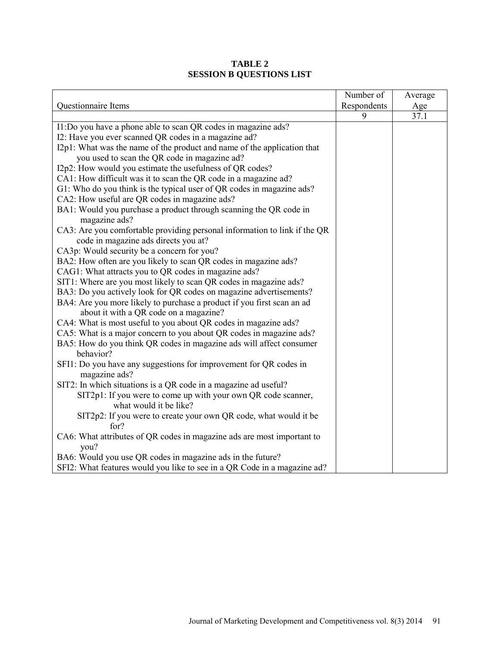|                                                                                         | Number of   | Average |
|-----------------------------------------------------------------------------------------|-------------|---------|
| Questionnaire Items                                                                     | Respondents | Age     |
|                                                                                         | 9           | 37.1    |
| I1:Do you have a phone able to scan QR codes in magazine ads?                           |             |         |
| I2: Have you ever scanned QR codes in a magazine ad?                                    |             |         |
| I2p1: What was the name of the product and name of the application that                 |             |         |
| you used to scan the QR code in magazine ad?                                            |             |         |
| I2p2: How would you estimate the usefulness of QR codes?                                |             |         |
| CA1: How difficult was it to scan the QR code in a magazine ad?                         |             |         |
| G1: Who do you think is the typical user of QR codes in magazine ads?                   |             |         |
| CA2: How useful are QR codes in magazine ads?                                           |             |         |
| BA1: Would you purchase a product through scanning the QR code in<br>magazine ads?      |             |         |
| CA3: Are you comfortable providing personal information to link if the QR               |             |         |
| code in magazine ads directs you at?                                                    |             |         |
| CA3p: Would security be a concern for you?                                              |             |         |
| BA2: How often are you likely to scan QR codes in magazine ads?                         |             |         |
| CAG1: What attracts you to QR codes in magazine ads?                                    |             |         |
| SIT1: Where are you most likely to scan QR codes in magazine ads?                       |             |         |
| BA3: Do you actively look for QR codes on magazine advertisements?                      |             |         |
| BA4: Are you more likely to purchase a product if you first scan an ad                  |             |         |
| about it with a QR code on a magazine?                                                  |             |         |
| CA4: What is most useful to you about QR codes in magazine ads?                         |             |         |
| CA5: What is a major concern to you about QR codes in magazine ads?                     |             |         |
| BA5: How do you think QR codes in magazine ads will affect consumer                     |             |         |
| behavior?                                                                               |             |         |
| SFI1: Do you have any suggestions for improvement for QR codes in<br>magazine ads?      |             |         |
| SIT2: In which situations is a QR code in a magazine ad useful?                         |             |         |
| SIT2p1: If you were to come up with your own QR code scanner,<br>what would it be like? |             |         |
| SIT2p2: If you were to create your own QR code, what would it be<br>for?                |             |         |
| CA6: What attributes of QR codes in magazine ads are most important to<br>you?          |             |         |
| BA6: Would you use QR codes in magazine ads in the future?                              |             |         |
| SFI2: What features would you like to see in a QR Code in a magazine ad?                |             |         |

# **TABLE 2 SESSION B QUESTIONS LIST**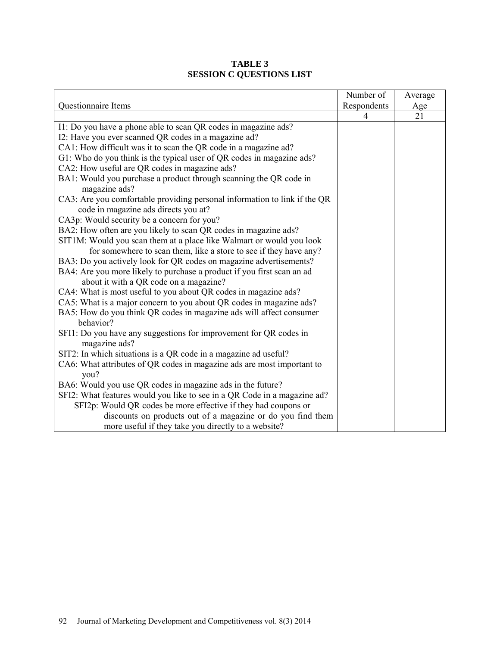|                                                                                    | Number of   | Average |
|------------------------------------------------------------------------------------|-------------|---------|
| Questionnaire Items                                                                | Respondents | Age     |
|                                                                                    | 4           | 21      |
| I1: Do you have a phone able to scan QR codes in magazine ads?                     |             |         |
| I2: Have you ever scanned QR codes in a magazine ad?                               |             |         |
| CA1: How difficult was it to scan the QR code in a magazine ad?                    |             |         |
| G1: Who do you think is the typical user of QR codes in magazine ads?              |             |         |
| CA2: How useful are QR codes in magazine ads?                                      |             |         |
| BA1: Would you purchase a product through scanning the QR code in                  |             |         |
| magazine ads?                                                                      |             |         |
| CA3: Are you comfortable providing personal information to link if the QR          |             |         |
| code in magazine ads directs you at?                                               |             |         |
| CA3p: Would security be a concern for you?                                         |             |         |
| BA2: How often are you likely to scan QR codes in magazine ads?                    |             |         |
| SIT1M: Would you scan them at a place like Walmart or would you look               |             |         |
| for somewhere to scan them, like a store to see if they have any?                  |             |         |
| BA3: Do you actively look for QR codes on magazine advertisements?                 |             |         |
| BA4: Are you more likely to purchase a product if you first scan an ad             |             |         |
| about it with a QR code on a magazine?                                             |             |         |
| CA4: What is most useful to you about QR codes in magazine ads?                    |             |         |
| CA5: What is a major concern to you about QR codes in magazine ads?                |             |         |
| BA5: How do you think QR codes in magazine ads will affect consumer                |             |         |
| behavior?                                                                          |             |         |
| SFI1: Do you have any suggestions for improvement for QR codes in<br>magazine ads? |             |         |
| SIT2: In which situations is a QR code in a magazine ad useful?                    |             |         |
| CA6: What attributes of QR codes in magazine ads are most important to             |             |         |
| you?                                                                               |             |         |
| BA6: Would you use QR codes in magazine ads in the future?                         |             |         |
| SFI2: What features would you like to see in a QR Code in a magazine ad?           |             |         |
| SFI2p: Would QR codes be more effective if they had coupons or                     |             |         |
| discounts on products out of a magazine or do you find them                        |             |         |
| more useful if they take you directly to a website?                                |             |         |

# **TABLE 3 SESSION C QUESTIONS LIST**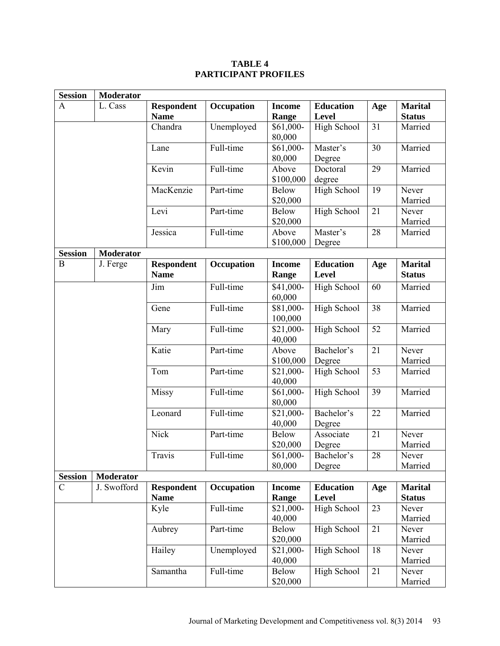#### **Session** | **Moderator** A L. Cass **Respondent Name Occupation Income Range Education Level Age Marital Status**  Chandra Unemployed \$61,000-80,000 High School 31 Married Lane  $\vert$  Full-time  $\vert$  \$61,000-80,000 Master's Degree 30 Married Kevin Full-time Above \$100,000 Doctoral degree 29 Married MacKenzie Part-time Below \$20,000 High School 19 Never Married Levi Part-time Below \$20,000 High School 21 Never Married Jessica Full-time Above \$100,000 Master's Degree 28 Married **Session Moderator** B J. Ferge **Respondent Name Occupation Income Range Education Level Age Marital Status**  Jim Full-time \$41,000-60,000 High School | 60 | Married Gene  $\vert$  Full-time  $\vert$  \$81,000-100,000 High School 38 | Married Mary Full-time  $$21,000$ - $\frac{40,000}{\text{Above}}$ High School 52 | Married Katie Part-time \$100,000 Bachelor's Degree 21 Never Married Tom **Part-time** \$21,000-40,000 High School 53 | Married  $M$ issy Full-time  $\frac{1}{6}$  \$61,000-80,000 High School 39 Married Leonard Full-time  $$21,000$ -40,000 Bachelor's Degree 22 Married Nick Part-time Below \$20,000 Associate Degree 21 Never Married Travis Full-time \$61,000-80,000 Bachelor's Degree 28 Never Married **C Moderator Moderator C J**. Swofford C J. Swofford **Respondent Name Occupation Income Range Education Level Age Marital Status**   $Kyle$  Full-time  $$21,000$ -40,000 High School 23 Never Married Aubrey | Part-time | Below \$20,000 High School 21 Never Married Hailey Unemployed \$21,000-40,000 High School 18 Never Married Samantha Full-time Below \$20,000 High School 21 Never Married

# **TABLE 4 PARTICIPANT PROFILES**